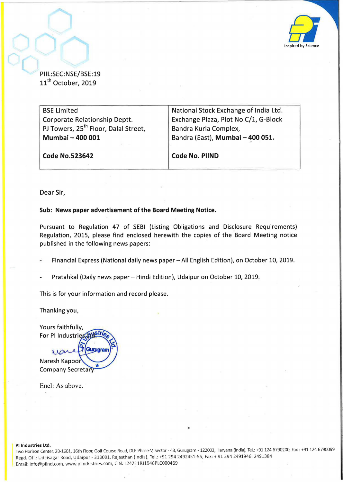

PIIL:SEC:NSE/BSE:19 11<sup>th</sup> October, 2019

BSE Limited Corporate Relationship Deptt. PJ Towers, 25<sup>th</sup> Floor, Dalal Street, **Mumbai- 400 001 Code No.523642**  National Stock Exchange of India Ltd. Exchange Plaza, Plot No.C/1, G-Biock Bandra Kurla Complex, Bandra (East), **Mumbai - 400 051. Code No. PIIND** 

Dear Sir,

## **Sub: News paper advertisement of the Board Meeting Notice.**

Pursuant to Regulation 47 of SEBI (Listing Obligations and Disclosure Requirements) Regulation, 2015, please find enclosed herewith the copies of the Board Meeting notice published in the following news papers:

Financial Express (National daily news paper- All English Edition), on October 10, 2019.

Pratahkal (Daily news paper- Hindi Edition), Udaipur on October 10, 2019.

This is for your information and record please.

Thanking you,

Yours faithfully, For PI Industries (d)

Gurugram war Naresh Kapoor **Company Secretary** 

Encl: As above.

PI Industries Ltd.

Two Horizon Center, 28-1601, 16th Floor, Golf Course Road, DLF Phase-V, Sector- 43, Gurugram -122002, Haryana (India), Tel.: +91124 6790200, Fax: +91124 6790099 Regd . Off.: Udaisagar Road, Udaipur- 313001, Rajasthan (India), Tel.: +91 294 2492451-55, Fax:+ 91 294 2491946, 2491384 Email: info@piind .com, www.piindustries.com, CIN: L24211RJ1946PLC000469